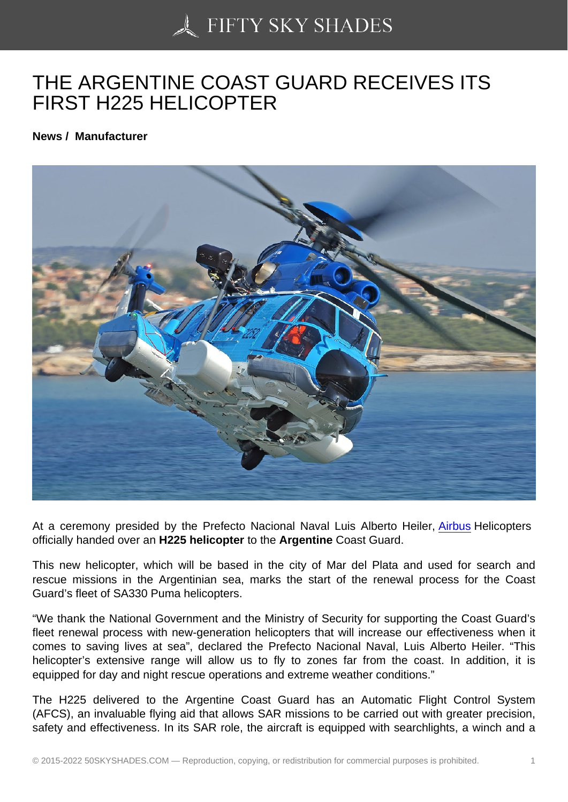## [THE ARGENTINE COA](https://50skyshades.com)ST GUARD RECEIVES ITS FIRST H225 HELICOPTER

News / Manufacturer

At a ceremony presided by the Prefecto Nacional Naval Luis Alberto Heiler, Airbus Helicopters officially handed over an H225 helicopter to the Argentine Coast Guard.

This new helicopter, which will be based in the city of Mar del Plata and used for search and rescue missions in the Argentinian sea, marks the start of the renewal pro[cess fo](http://www.aviatime.com/en/commercial-aviation/commercial-aviation-news/manufacturers)r the Coast Guard's fleet of SA330 Puma helicopters.

"We thank the National Government and the Ministry of Security for supporting the Coast Guard's fleet renewal process with new-generation helicopters that will increase our effectiveness when it comes to saving lives at sea", declared the Prefecto Nacional Naval, Luis Alberto Heiler. "This helicopter's extensive range will allow us to fly to zones far from the coast. In addition, it is equipped for day and night rescue operations and extreme weather conditions."

The H225 delivered to the Argentine Coast Guard has an Automatic Flight Control System (AFCS), an invaluable flying aid that allows SAR missions to be carried out with greater precision, safety and effectiveness. In its SAR role, the aircraft is equipped with searchlights, a winch and a